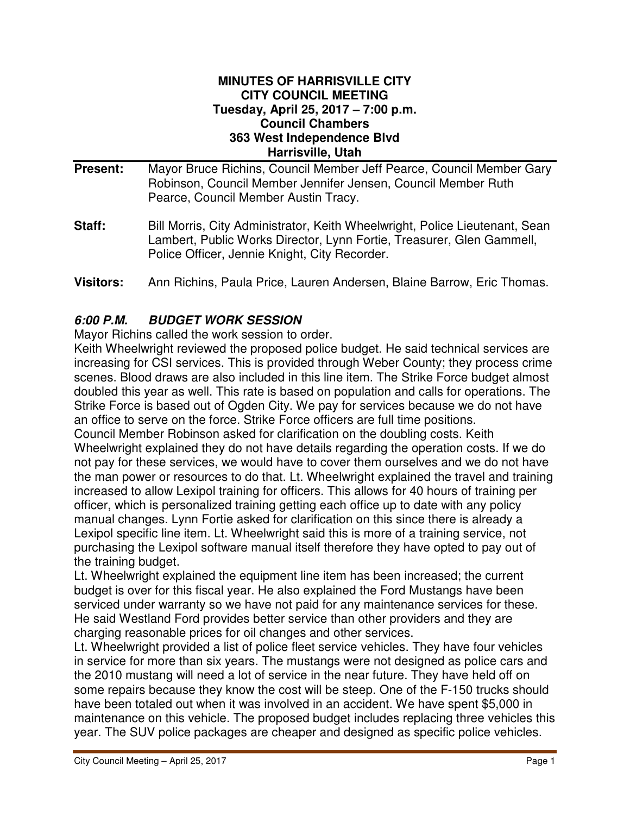#### **MINUTES OF HARRISVILLE CITY CITY COUNCIL MEETING Tuesday, April 25, 2017 – 7:00 p.m. Council Chambers 363 West Independence Blvd Harrisville, Utah**

- **Present:** Mayor Bruce Richins, Council Member Jeff Pearce, Council Member Gary Robinson, Council Member Jennifer Jensen, Council Member Ruth Pearce, Council Member Austin Tracy.
- **Staff:** Bill Morris, City Administrator, Keith Wheelwright, Police Lieutenant, Sean Lambert, Public Works Director, Lynn Fortie, Treasurer, Glen Gammell, Police Officer, Jennie Knight, City Recorder.
- **Visitors:** Ann Richins, Paula Price, Lauren Andersen, Blaine Barrow, Eric Thomas.

# **6:00 P.M. BUDGET WORK SESSION**

Mayor Richins called the work session to order.

Keith Wheelwright reviewed the proposed police budget. He said technical services are increasing for CSI services. This is provided through Weber County; they process crime scenes. Blood draws are also included in this line item. The Strike Force budget almost doubled this year as well. This rate is based on population and calls for operations. The Strike Force is based out of Ogden City. We pay for services because we do not have an office to serve on the force. Strike Force officers are full time positions. Council Member Robinson asked for clarification on the doubling costs. Keith

Wheelwright explained they do not have details regarding the operation costs. If we do not pay for these services, we would have to cover them ourselves and we do not have the man power or resources to do that. Lt. Wheelwright explained the travel and training increased to allow Lexipol training for officers. This allows for 40 hours of training per officer, which is personalized training getting each office up to date with any policy manual changes. Lynn Fortie asked for clarification on this since there is already a Lexipol specific line item. Lt. Wheelwright said this is more of a training service, not purchasing the Lexipol software manual itself therefore they have opted to pay out of the training budget.

Lt. Wheelwright explained the equipment line item has been increased; the current budget is over for this fiscal year. He also explained the Ford Mustangs have been serviced under warranty so we have not paid for any maintenance services for these. He said Westland Ford provides better service than other providers and they are charging reasonable prices for oil changes and other services.

Lt. Wheelwright provided a list of police fleet service vehicles. They have four vehicles in service for more than six years. The mustangs were not designed as police cars and the 2010 mustang will need a lot of service in the near future. They have held off on some repairs because they know the cost will be steep. One of the F-150 trucks should have been totaled out when it was involved in an accident. We have spent \$5,000 in maintenance on this vehicle. The proposed budget includes replacing three vehicles this year. The SUV police packages are cheaper and designed as specific police vehicles.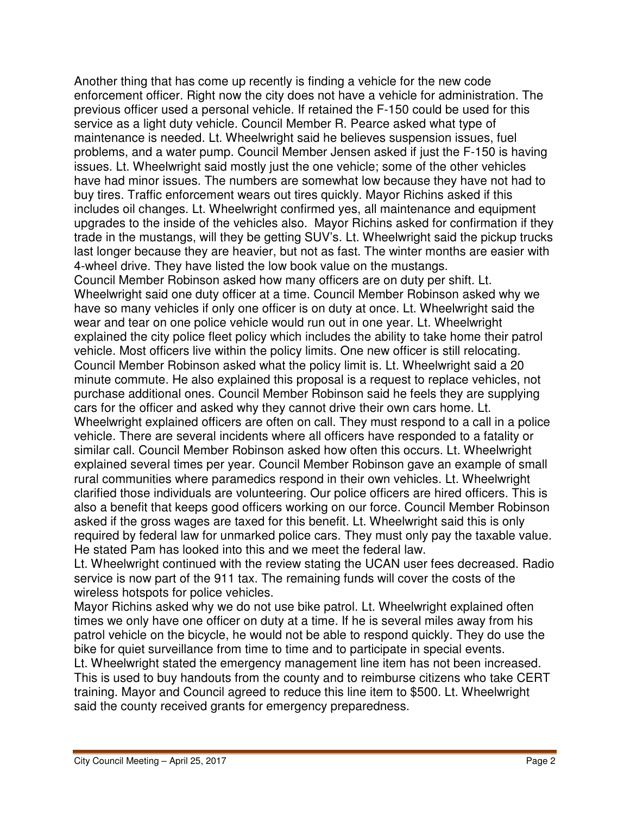Another thing that has come up recently is finding a vehicle for the new code enforcement officer. Right now the city does not have a vehicle for administration. The previous officer used a personal vehicle. If retained the F-150 could be used for this service as a light duty vehicle. Council Member R. Pearce asked what type of maintenance is needed. Lt. Wheelwright said he believes suspension issues, fuel problems, and a water pump. Council Member Jensen asked if just the F-150 is having issues. Lt. Wheelwright said mostly just the one vehicle; some of the other vehicles have had minor issues. The numbers are somewhat low because they have not had to buy tires. Traffic enforcement wears out tires quickly. Mayor Richins asked if this includes oil changes. Lt. Wheelwright confirmed yes, all maintenance and equipment upgrades to the inside of the vehicles also. Mayor Richins asked for confirmation if they trade in the mustangs, will they be getting SUV's. Lt. Wheelwright said the pickup trucks last longer because they are heavier, but not as fast. The winter months are easier with 4-wheel drive. They have listed the low book value on the mustangs.

Council Member Robinson asked how many officers are on duty per shift. Lt. Wheelwright said one duty officer at a time. Council Member Robinson asked why we have so many vehicles if only one officer is on duty at once. Lt. Wheelwright said the wear and tear on one police vehicle would run out in one year. Lt. Wheelwright explained the city police fleet policy which includes the ability to take home their patrol vehicle. Most officers live within the policy limits. One new officer is still relocating. Council Member Robinson asked what the policy limit is. Lt. Wheelwright said a 20 minute commute. He also explained this proposal is a request to replace vehicles, not purchase additional ones. Council Member Robinson said he feels they are supplying cars for the officer and asked why they cannot drive their own cars home. Lt. Wheelwright explained officers are often on call. They must respond to a call in a police vehicle. There are several incidents where all officers have responded to a fatality or similar call. Council Member Robinson asked how often this occurs. Lt. Wheelwright explained several times per year. Council Member Robinson gave an example of small rural communities where paramedics respond in their own vehicles. Lt. Wheelwright clarified those individuals are volunteering. Our police officers are hired officers. This is also a benefit that keeps good officers working on our force. Council Member Robinson asked if the gross wages are taxed for this benefit. Lt. Wheelwright said this is only required by federal law for unmarked police cars. They must only pay the taxable value. He stated Pam has looked into this and we meet the federal law.

Lt. Wheelwright continued with the review stating the UCAN user fees decreased. Radio service is now part of the 911 tax. The remaining funds will cover the costs of the wireless hotspots for police vehicles.

Mayor Richins asked why we do not use bike patrol. Lt. Wheelwright explained often times we only have one officer on duty at a time. If he is several miles away from his patrol vehicle on the bicycle, he would not be able to respond quickly. They do use the bike for quiet surveillance from time to time and to participate in special events.

Lt. Wheelwright stated the emergency management line item has not been increased. This is used to buy handouts from the county and to reimburse citizens who take CERT training. Mayor and Council agreed to reduce this line item to \$500. Lt. Wheelwright said the county received grants for emergency preparedness.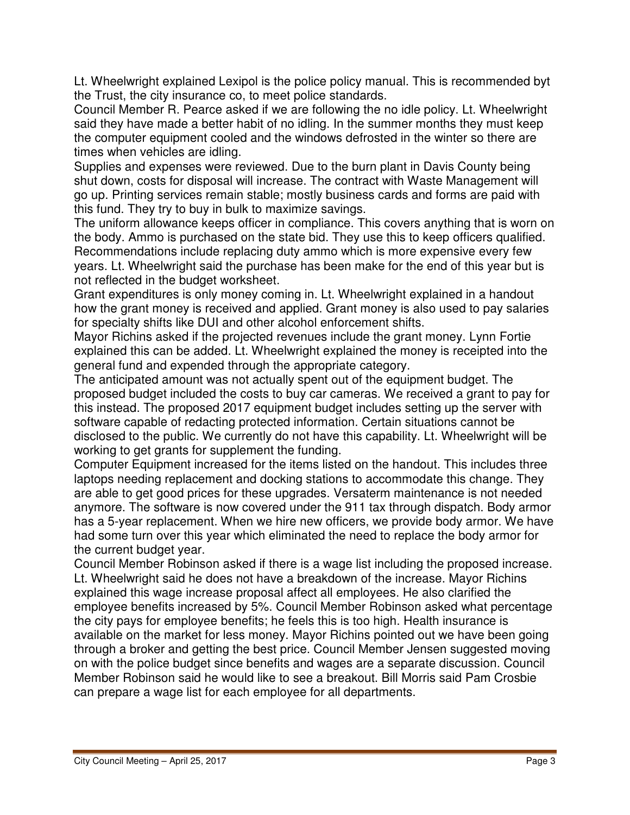Lt. Wheelwright explained Lexipol is the police policy manual. This is recommended byt the Trust, the city insurance co, to meet police standards.

Council Member R. Pearce asked if we are following the no idle policy. Lt. Wheelwright said they have made a better habit of no idling. In the summer months they must keep the computer equipment cooled and the windows defrosted in the winter so there are times when vehicles are idling.

Supplies and expenses were reviewed. Due to the burn plant in Davis County being shut down, costs for disposal will increase. The contract with Waste Management will go up. Printing services remain stable; mostly business cards and forms are paid with this fund. They try to buy in bulk to maximize savings.

The uniform allowance keeps officer in compliance. This covers anything that is worn on the body. Ammo is purchased on the state bid. They use this to keep officers qualified. Recommendations include replacing duty ammo which is more expensive every few years. Lt. Wheelwright said the purchase has been make for the end of this year but is not reflected in the budget worksheet.

Grant expenditures is only money coming in. Lt. Wheelwright explained in a handout how the grant money is received and applied. Grant money is also used to pay salaries for specialty shifts like DUI and other alcohol enforcement shifts.

Mayor Richins asked if the projected revenues include the grant money. Lynn Fortie explained this can be added. Lt. Wheelwright explained the money is receipted into the general fund and expended through the appropriate category.

The anticipated amount was not actually spent out of the equipment budget. The proposed budget included the costs to buy car cameras. We received a grant to pay for this instead. The proposed 2017 equipment budget includes setting up the server with software capable of redacting protected information. Certain situations cannot be disclosed to the public. We currently do not have this capability. Lt. Wheelwright will be working to get grants for supplement the funding.

Computer Equipment increased for the items listed on the handout. This includes three laptops needing replacement and docking stations to accommodate this change. They are able to get good prices for these upgrades. Versaterm maintenance is not needed anymore. The software is now covered under the 911 tax through dispatch. Body armor has a 5-year replacement. When we hire new officers, we provide body armor. We have had some turn over this year which eliminated the need to replace the body armor for the current budget year.

Council Member Robinson asked if there is a wage list including the proposed increase. Lt. Wheelwright said he does not have a breakdown of the increase. Mayor Richins explained this wage increase proposal affect all employees. He also clarified the employee benefits increased by 5%. Council Member Robinson asked what percentage the city pays for employee benefits; he feels this is too high. Health insurance is available on the market for less money. Mayor Richins pointed out we have been going through a broker and getting the best price. Council Member Jensen suggested moving on with the police budget since benefits and wages are a separate discussion. Council Member Robinson said he would like to see a breakout. Bill Morris said Pam Crosbie can prepare a wage list for each employee for all departments.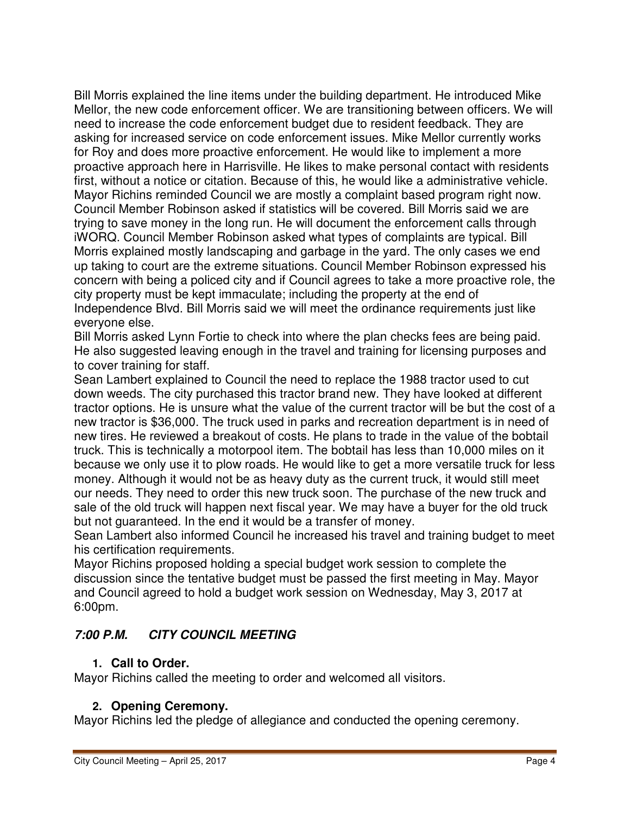Bill Morris explained the line items under the building department. He introduced Mike Mellor, the new code enforcement officer. We are transitioning between officers. We will need to increase the code enforcement budget due to resident feedback. They are asking for increased service on code enforcement issues. Mike Mellor currently works for Roy and does more proactive enforcement. He would like to implement a more proactive approach here in Harrisville. He likes to make personal contact with residents first, without a notice or citation. Because of this, he would like a administrative vehicle. Mayor Richins reminded Council we are mostly a complaint based program right now. Council Member Robinson asked if statistics will be covered. Bill Morris said we are trying to save money in the long run. He will document the enforcement calls through iWORQ. Council Member Robinson asked what types of complaints are typical. Bill Morris explained mostly landscaping and garbage in the yard. The only cases we end up taking to court are the extreme situations. Council Member Robinson expressed his concern with being a policed city and if Council agrees to take a more proactive role, the city property must be kept immaculate; including the property at the end of Independence Blvd. Bill Morris said we will meet the ordinance requirements just like everyone else.

Bill Morris asked Lynn Fortie to check into where the plan checks fees are being paid. He also suggested leaving enough in the travel and training for licensing purposes and to cover training for staff.

Sean Lambert explained to Council the need to replace the 1988 tractor used to cut down weeds. The city purchased this tractor brand new. They have looked at different tractor options. He is unsure what the value of the current tractor will be but the cost of a new tractor is \$36,000. The truck used in parks and recreation department is in need of new tires. He reviewed a breakout of costs. He plans to trade in the value of the bobtail truck. This is technically a motorpool item. The bobtail has less than 10,000 miles on it because we only use it to plow roads. He would like to get a more versatile truck for less money. Although it would not be as heavy duty as the current truck, it would still meet our needs. They need to order this new truck soon. The purchase of the new truck and sale of the old truck will happen next fiscal year. We may have a buyer for the old truck but not guaranteed. In the end it would be a transfer of money.

Sean Lambert also informed Council he increased his travel and training budget to meet his certification requirements.

Mayor Richins proposed holding a special budget work session to complete the discussion since the tentative budget must be passed the first meeting in May. Mayor and Council agreed to hold a budget work session on Wednesday, May 3, 2017 at 6:00pm.

# **7:00 P.M. CITY COUNCIL MEETING**

# **1. Call to Order.**

Mayor Richins called the meeting to order and welcomed all visitors.

# **2. Opening Ceremony.**

Mayor Richins led the pledge of allegiance and conducted the opening ceremony.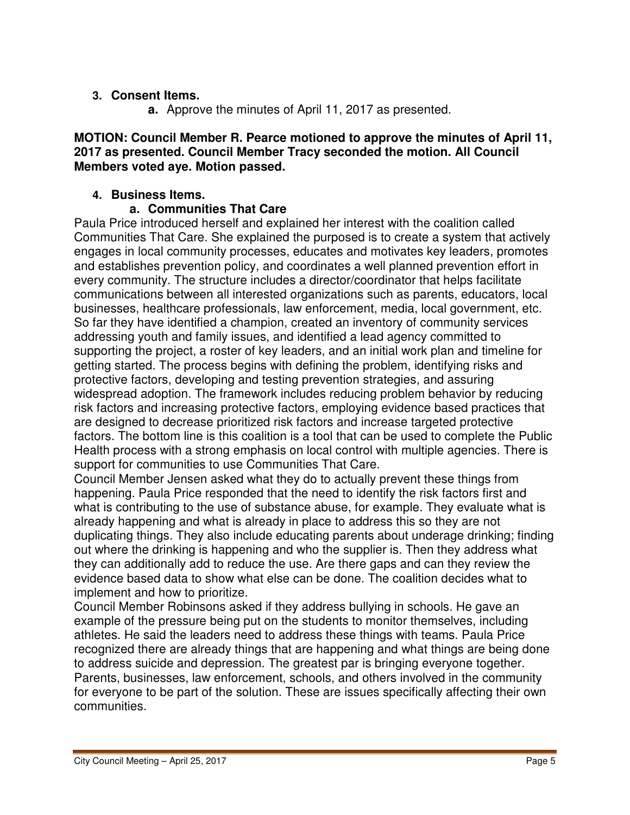## **3. Consent Items.**

**a.** Approve the minutes of April 11, 2017 as presented.

### **MOTION: Council Member R. Pearce motioned to approve the minutes of April 11, 2017 as presented. Council Member Tracy seconded the motion. All Council Members voted aye. Motion passed.**

## **4. Business Items.**

## **a. Communities That Care**

Paula Price introduced herself and explained her interest with the coalition called Communities That Care. She explained the purposed is to create a system that actively engages in local community processes, educates and motivates key leaders, promotes and establishes prevention policy, and coordinates a well planned prevention effort in every community. The structure includes a director/coordinator that helps facilitate communications between all interested organizations such as parents, educators, local businesses, healthcare professionals, law enforcement, media, local government, etc. So far they have identified a champion, created an inventory of community services addressing youth and family issues, and identified a lead agency committed to supporting the project, a roster of key leaders, and an initial work plan and timeline for getting started. The process begins with defining the problem, identifying risks and protective factors, developing and testing prevention strategies, and assuring widespread adoption. The framework includes reducing problem behavior by reducing risk factors and increasing protective factors, employing evidence based practices that are designed to decrease prioritized risk factors and increase targeted protective factors. The bottom line is this coalition is a tool that can be used to complete the Public Health process with a strong emphasis on local control with multiple agencies. There is support for communities to use Communities That Care.

Council Member Jensen asked what they do to actually prevent these things from happening. Paula Price responded that the need to identify the risk factors first and what is contributing to the use of substance abuse, for example. They evaluate what is already happening and what is already in place to address this so they are not duplicating things. They also include educating parents about underage drinking; finding out where the drinking is happening and who the supplier is. Then they address what they can additionally add to reduce the use. Are there gaps and can they review the evidence based data to show what else can be done. The coalition decides what to implement and how to prioritize.

Council Member Robinsons asked if they address bullying in schools. He gave an example of the pressure being put on the students to monitor themselves, including athletes. He said the leaders need to address these things with teams. Paula Price recognized there are already things that are happening and what things are being done to address suicide and depression. The greatest par is bringing everyone together. Parents, businesses, law enforcement, schools, and others involved in the community for everyone to be part of the solution. These are issues specifically affecting their own communities.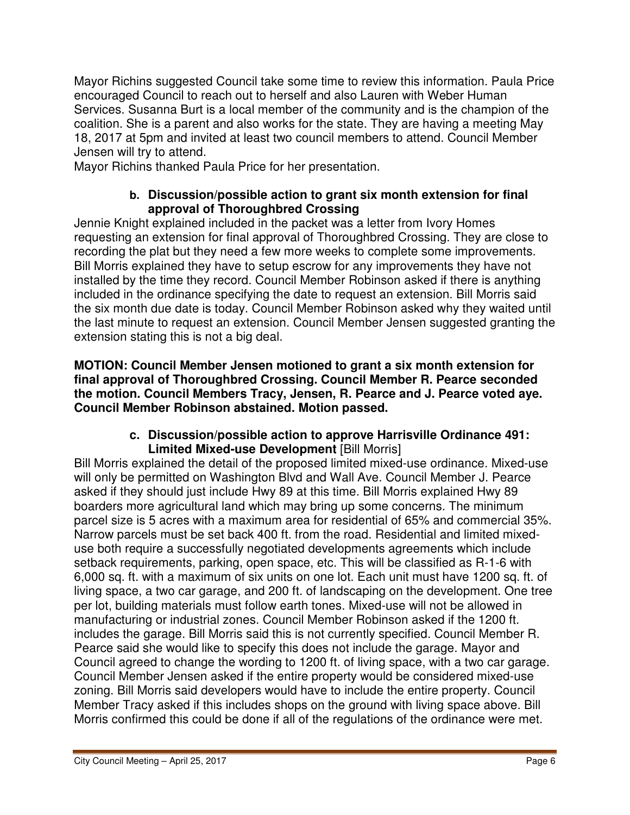Mayor Richins suggested Council take some time to review this information. Paula Price encouraged Council to reach out to herself and also Lauren with Weber Human Services. Susanna Burt is a local member of the community and is the champion of the coalition. She is a parent and also works for the state. They are having a meeting May 18, 2017 at 5pm and invited at least two council members to attend. Council Member Jensen will try to attend.

Mayor Richins thanked Paula Price for her presentation.

### **b. Discussion/possible action to grant six month extension for final approval of Thoroughbred Crossing**

Jennie Knight explained included in the packet was a letter from Ivory Homes requesting an extension for final approval of Thoroughbred Crossing. They are close to recording the plat but they need a few more weeks to complete some improvements. Bill Morris explained they have to setup escrow for any improvements they have not installed by the time they record. Council Member Robinson asked if there is anything included in the ordinance specifying the date to request an extension. Bill Morris said the six month due date is today. Council Member Robinson asked why they waited until the last minute to request an extension. Council Member Jensen suggested granting the extension stating this is not a big deal.

**MOTION: Council Member Jensen motioned to grant a six month extension for final approval of Thoroughbred Crossing. Council Member R. Pearce seconded the motion. Council Members Tracy, Jensen, R. Pearce and J. Pearce voted aye. Council Member Robinson abstained. Motion passed.** 

### **c. Discussion/possible action to approve Harrisville Ordinance 491: Limited Mixed-use Development** [Bill Morris]

Bill Morris explained the detail of the proposed limited mixed-use ordinance. Mixed-use will only be permitted on Washington Blvd and Wall Ave. Council Member J. Pearce asked if they should just include Hwy 89 at this time. Bill Morris explained Hwy 89 boarders more agricultural land which may bring up some concerns. The minimum parcel size is 5 acres with a maximum area for residential of 65% and commercial 35%. Narrow parcels must be set back 400 ft. from the road. Residential and limited mixeduse both require a successfully negotiated developments agreements which include setback requirements, parking, open space, etc. This will be classified as R-1-6 with 6,000 sq. ft. with a maximum of six units on one lot. Each unit must have 1200 sq. ft. of living space, a two car garage, and 200 ft. of landscaping on the development. One tree per lot, building materials must follow earth tones. Mixed-use will not be allowed in manufacturing or industrial zones. Council Member Robinson asked if the 1200 ft. includes the garage. Bill Morris said this is not currently specified. Council Member R. Pearce said she would like to specify this does not include the garage. Mayor and Council agreed to change the wording to 1200 ft. of living space, with a two car garage. Council Member Jensen asked if the entire property would be considered mixed-use zoning. Bill Morris said developers would have to include the entire property. Council Member Tracy asked if this includes shops on the ground with living space above. Bill Morris confirmed this could be done if all of the regulations of the ordinance were met.